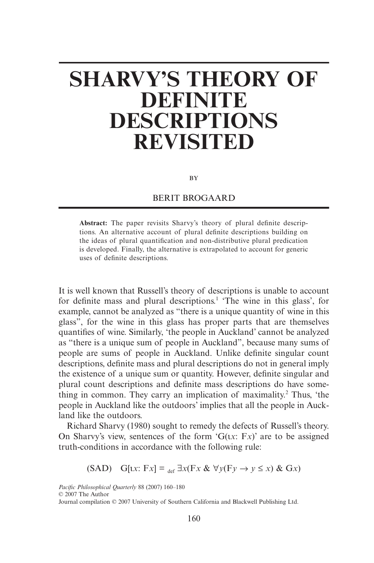# **SHARVY'S THEORY OF DEFINITE DESCRIPTIONS REVISITED**

**BY** 

#### BERIT BROGAARD

**Abstract:** The paper revisits Sharvy's theory of plural definite descriptions. An alternative account of plural definite descriptions building on the ideas of plural quantification and non-distributive plural predication is developed. Finally, the alternative is extrapolated to account for generic uses of definite descriptions.

It is well known that Russell's theory of descriptions is unable to account for definite mass and plural descriptions.<sup>1</sup> 'The wine in this glass', for example, cannot be analyzed as "there is a unique quantity of wine in this glass", for the wine in this glass has proper parts that are themselves quantifies of wine. Similarly, 'the people in Auckland' cannot be analyzed as "there is a unique sum of people in Auckland", because many sums of people are sums of people in Auckland. Unlike definite singular count descriptions, definite mass and plural descriptions do not in general imply the existence of a unique sum or quantity. However, definite singular and plural count descriptions and definite mass descriptions do have something in common. They carry an implication of maximality.2 Thus, 'the people in Auckland like the outdoors' implies that all the people in Auckland like the outdoors.

Richard Sharvy (1980) sought to remedy the defects of Russell's theory. On Sharvy's view, sentences of the form 'G(ι*x*: F*x*)' are to be assigned truth-conditions in accordance with the following rule:

(SAD) 
$$
G[tx: Fx] = \text{def } \exists x (Fx & \forall y (Fy \rightarrow y \le x) \& Gx)
$$

*Pacific Philosophical Quarterly* 88 (2007) 160–180 © 2007 The Author Journal compilation © 2007 University of Southern California and Blackwell Publishing Ltd.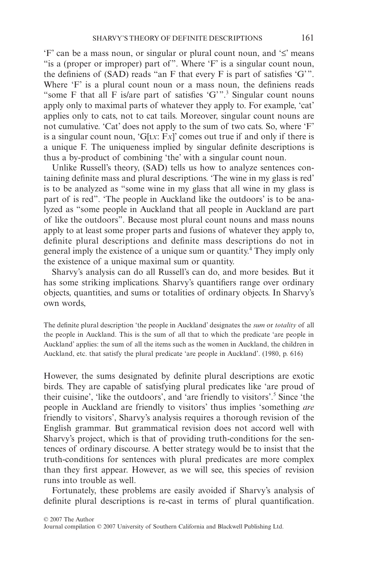'F' can be a mass noun, or singular or plural count noun, and '≤' means "is a (proper or improper) part of". Where 'F' is a singular count noun, the definiens of (SAD) reads "an F that every F is part of satisfies 'G'". Where 'F' is a plural count noun or a mass noun, the definiens reads "some F that all F is/are part of satisfies 'G'".<sup>3</sup> Singular count nouns apply only to maximal parts of whatever they apply to. For example, 'cat' applies only to cats, not to cat tails. Moreover, singular count nouns are not cumulative. 'Cat' does not apply to the sum of two cats. So, where 'F' is a singular count noun, 'G[ι*x*: F*x*]' comes out true if and only if there is a unique F. The uniqueness implied by singular definite descriptions is thus a by-product of combining 'the' with a singular count noun.

Unlike Russell's theory, (SAD) tells us how to analyze sentences containing definite mass and plural descriptions. 'The wine in my glass is red' is to be analyzed as "some wine in my glass that all wine in my glass is part of is red". 'The people in Auckland like the outdoors' is to be analyzed as "some people in Auckland that all people in Auckland are part of like the outdoors". Because most plural count nouns and mass nouns apply to at least some proper parts and fusions of whatever they apply to, definite plural descriptions and definite mass descriptions do not in general imply the existence of a unique sum or quantity.4 They imply only the existence of a unique maximal sum or quantity.

Sharvy's analysis can do all Russell's can do, and more besides. But it has some striking implications. Sharvy's quantifiers range over ordinary objects, quantities, and sums or totalities of ordinary objects. In Sharvy's own words,

The definite plural description 'the people in Auckland' designates the *sum* or *totality* of all the people in Auckland. This is the sum of all that to which the predicate 'are people in Auckland' applies: the sum of all the items such as the women in Auckland, the children in Auckland, etc. that satisfy the plural predicate 'are people in Auckland'. (1980, p. 616)

However, the sums designated by definite plural descriptions are exotic birds. They are capable of satisfying plural predicates like 'are proud of their cuisine', 'like the outdoors', and 'are friendly to visitors'.<sup>5</sup> Since 'the people in Auckland are friendly to visitors' thus implies 'something *are* friendly to visitors', Sharvy's analysis requires a thorough revision of the English grammar. But grammatical revision does not accord well with Sharvy's project, which is that of providing truth-conditions for the sentences of ordinary discourse. A better strategy would be to insist that the truth-conditions for sentences with plural predicates are more complex than they first appear. However, as we will see, this species of revision runs into trouble as well.

Fortunately, these problems are easily avoided if Sharvy's analysis of definite plural descriptions is re-cast in terms of plural quantification.

Journal compilation © 2007 University of Southern California and Blackwell Publishing Ltd.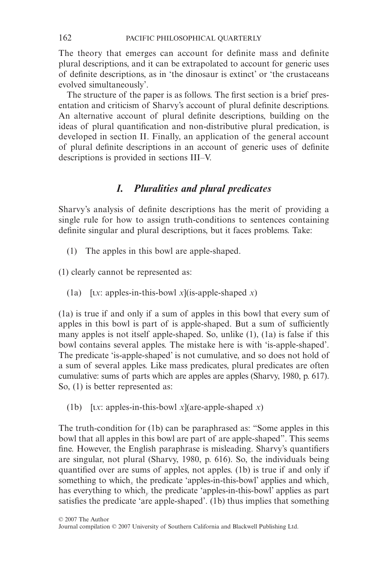The theory that emerges can account for definite mass and definite plural descriptions, and it can be extrapolated to account for generic uses of definite descriptions, as in 'the dinosaur is extinct' or 'the crustaceans evolved simultaneously'.

The structure of the paper is as follows. The first section is a brief presentation and criticism of Sharvy's account of plural definite descriptions. An alternative account of plural definite descriptions, building on the ideas of plural quantification and non-distributive plural predication, is developed in section II. Finally, an application of the general account of plural definite descriptions in an account of generic uses of definite descriptions is provided in sections III–V.

## *I. Pluralities and plural predicates*

Sharvy's analysis of definite descriptions has the merit of providing a single rule for how to assign truth-conditions to sentences containing definite singular and plural descriptions, but it faces problems. Take:

(1) The apples in this bowl are apple-shaped.

(1) clearly cannot be represented as:

(1a) [ι*x*: apples-in-this-bowl *x*](is-apple-shaped *x*)

(1a) is true if and only if a sum of apples in this bowl that every sum of apples in this bowl is part of is apple-shaped. But a sum of sufficiently many apples is not itself apple-shaped. So, unlike (1), (1a) is false if this bowl contains several apples. The mistake here is with 'is-apple-shaped'. The predicate 'is-apple-shaped' is not cumulative, and so does not hold of a sum of several apples. Like mass predicates, plural predicates are often cumulative: sums of parts which are apples are apples (Sharvy, 1980, p. 617). So, (1) is better represented as:

(1b) [ι*x*: apples-in-this-bowl *x*](are-apple-shaped *x*)

The truth-condition for (1b) can be paraphrased as: "Some apples in this bowl that all apples in this bowl are part of are apple-shaped". This seems fine. However, the English paraphrase is misleading. Sharvy's quantifiers are singular, not plural (Sharvy, 1980, p. 616). So, the individuals being quantified over are sums of apples, not apples. (1b) is true if and only if something to which<sub>x</sub> the predicate 'apples-in-this-bowl' applies and which<sub>x</sub> has everything to which<sub>y</sub> the predicate 'apples-in-this-bowl' applies as part satisfies the predicate 'are apple-shaped'. (1b) thus implies that something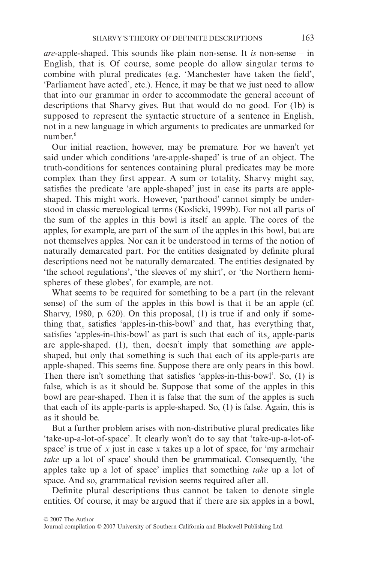*are*-apple-shaped. This sounds like plain non-sense. It *is* non-sense – in English, that is. Of course, some people do allow singular terms to combine with plural predicates (e.g. 'Manchester have taken the field', 'Parliament have acted', etc.). Hence, it may be that we just need to allow that into our grammar in order to accommodate the general account of descriptions that Sharvy gives. But that would do no good. For (1b) is supposed to represent the syntactic structure of a sentence in English, not in a new language in which arguments to predicates are unmarked for number.6

Our initial reaction, however, may be premature. For we haven't yet said under which conditions 'are-apple-shaped' is true of an object. The truth-conditions for sentences containing plural predicates may be more complex than they first appear. A sum or totality, Sharvy might say, satisfies the predicate 'are apple-shaped' just in case its parts are appleshaped. This might work. However, 'parthood' cannot simply be understood in classic mereological terms (Koslicki, 1999b). For not all parts of the sum of the apples in this bowl is itself an apple. The cores of the apples, for example, are part of the sum of the apples in this bowl, but are not themselves apples. Nor can it be understood in terms of the notion of naturally demarcated part. For the entities designated by definite plural descriptions need not be naturally demarcated. The entities designated by 'the school regulations', 'the sleeves of my shirt', or 'the Northern hemispheres of these globes', for example, are not.

What seems to be required for something to be a part (in the relevant sense) of the sum of the apples in this bowl is that it be an apple (cf. Sharvy, 1980, p. 620). On this proposal, (1) is true if and only if something that*<sup>x</sup>* satisfies 'apples-in-this-bowl' and that*<sup>x</sup>* has everything that*<sup>y</sup>* satisfies 'apples-in-this-bowl' as part is such that each of its<sub>x</sub> apple-parts are apple-shaped. (1), then, doesn't imply that something *are* appleshaped, but only that something is such that each of its apple-parts are apple-shaped. This seems fine. Suppose there are only pears in this bowl. Then there isn't something that satisfies 'apples-in-this-bowl'. So, (1) is false, which is as it should be. Suppose that some of the apples in this bowl are pear-shaped. Then it is false that the sum of the apples is such that each of its apple-parts is apple-shaped. So, (1) is false. Again, this is as it should be.

But a further problem arises with non-distributive plural predicates like 'take-up-a-lot-of-space'. It clearly won't do to say that 'take-up-a-lot-ofspace' is true of *x* just in case *x* takes up a lot of space, for 'my armchair *take* up a lot of space' should then be grammatical. Consequently, 'the apples take up a lot of space' implies that something *take* up a lot of space. And so, grammatical revision seems required after all.

Definite plural descriptions thus cannot be taken to denote single entities. Of course, it may be argued that if there are six apples in a bowl,

Journal compilation © 2007 University of Southern California and Blackwell Publishing Ltd.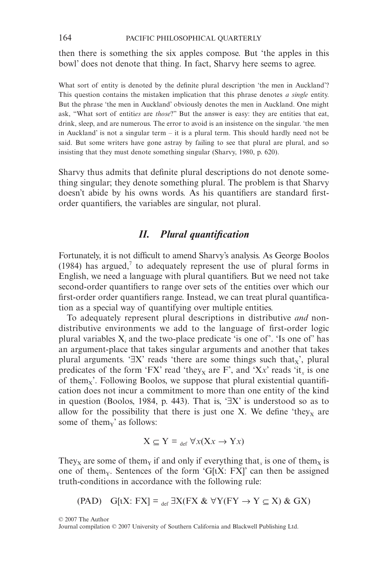then there is something the six apples compose. But 'the apples in this bowl' does not denote that thing. In fact, Sharvy here seems to agree.

What sort of entity is denoted by the definite plural description 'the men in Auckland'? This question contains the mistaken implication that this phrase denotes *a single* entity. But the phrase 'the men in Auckland' obviously denotes the men in Auckland. One might ask, "What sort of entiti*es* are *those*?" But the answer is easy: they are entities that eat, drink, sleep, and are numerous. The error to avoid is an insistence on the singular. 'the men in Auckland' is not a singular term – it is a plural term. This should hardly need not be said. But some writers have gone astray by failing to see that plural are plural, and so insisting that they must denote something singular (Sharvy, 1980, p. 620).

Sharvy thus admits that definite plural descriptions do not denote something singular; they denote something plural. The problem is that Sharvy doesn't abide by his owns words. As his quantifiers are standard firstorder quantifiers, the variables are singular, not plural.

## *II. Plural quantification*

Fortunately, it is not difficult to amend Sharvy's analysis. As George Boolos (1984) has argued,<sup>7</sup> to adequately represent the use of plural forms in English, we need a language with plural quantifiers. But we need not take second-order quantifiers to range over sets of the entities over which our first-order order quantifiers range. Instead, we can treat plural quantification as a special way of quantifying over multiple entities.

To adequately represent plural descriptions in distributive *and* nondistributive environments we add to the language of first-order logic plural variables X*<sup>i</sup>* and the two-place predicate 'is one of'. 'Is one of' has an argument-place that takes singular arguments and another that takes plural arguments. '∃X' reads 'there are some things such that<sub>x</sub>', plural predicates of the form 'FX' read 'they<sub>x</sub> are F', and 'X $x$ ' reads 'it<sub>x</sub> is one of them<sub>x</sub>'. Following Boolos, we suppose that plural existential quantification does not incur a commitment to more than one entity of the kind in question (Boolos, 1984, p. 443). That is, '∃X' is understood so as to allow for the possibility that there is just one X. We define 'they<sub>X</sub> are some of them $y'$  as follows:

$$
X \subseteq Y = \text{def } \forall x (Xx \to Yx)
$$

They<sub>x</sub> are some of them<sub>y</sub> if and only if everything that<sub>*x*</sub> is one of them<sub>x</sub> is one of them<sub>y</sub>. Sentences of the form 'G[ιX: FX]' can then be assigned truth-conditions in accordance with the following rule:

(PAD) G[ιX: FX] =  $_{def}$   $\exists X$ (FX &  $\forall Y$ (FY  $\rightarrow Y \subseteq X$ ) & GX)

© 2007 The Author

Journal compilation © 2007 University of Southern California and Blackwell Publishing Ltd.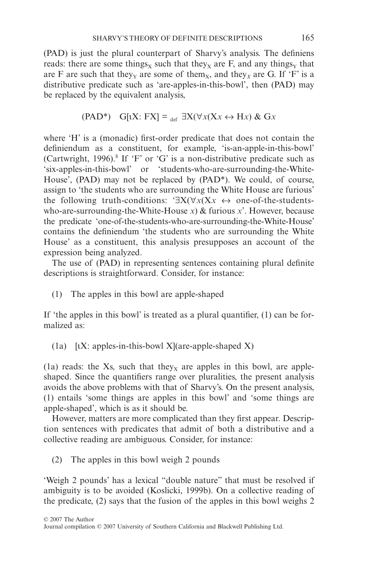(PAD) is just the plural counterpart of Sharvy's analysis. The definiens reads: there are some things<sub>x</sub> such that they<sub>x</sub> are F, and any things<sub>y</sub> that are F are such that they<sub>Y</sub> are some of them<sub>X</sub>, and they<sub>X</sub> are G. If 'F' is a distributive predicate such as 'are-apples-in-this-bowl', then (PAD) may be replaced by the equivalent analysis,

(PAD\*) 
$$
G[xX: FX] = \text{def } \exists X (\forall x (Xx \leftrightarrow Hx) \& Gx
$$

where 'H' is a (monadic) first-order predicate that does not contain the definiendum as a constituent, for example, 'is-an-apple-in-this-bowl' (Cartwright, 1996).<sup>8</sup> If 'F' or 'G' is a non-distributive predicate such as 'six-apples-in-this-bowl' or 'students-who-are-surrounding-the-White-House', (PAD) may not be replaced by (PAD\*). We could, of course, assign to 'the students who are surrounding the White House are furious' the following truth-conditions: '∃X(∀*x*(X*x* ↔ one-of-the-studentswho-are-surrounding-the-White-House *x*) & furious *x*'. However, because the predicate 'one-of-the-students-who-are-surrounding-the-White-House' contains the definiendum 'the students who are surrounding the White House' as a constituent, this analysis presupposes an account of the expression being analyzed.

The use of (PAD) in representing sentences containing plural definite descriptions is straightforward. Consider, for instance:

(1) The apples in this bowl are apple-shaped

If 'the apples in this bowl' is treated as a plural quantifier, (1) can be formalized as:

(1a)  $\left[ iX: \text{ apples-in-this-bound } X \right]$  (are-apple-shaped X)

(1a) reads: the Xs, such that they<sub>x</sub> are apples in this bowl, are appleshaped. Since the quantifiers range over pluralities, the present analysis avoids the above problems with that of Sharvy's. On the present analysis, (1) entails 'some things are apples in this bowl' and 'some things are apple-shaped', which is as it should be.

However, matters are more complicated than they first appear. Description sentences with predicates that admit of both a distributive and a collective reading are ambiguous. Consider, for instance:

(2) The apples in this bowl weigh 2 pounds

'Weigh 2 pounds' has a lexical "double nature" that must be resolved if ambiguity is to be avoided (Koslicki, 1999b). On a collective reading of the predicate, (2) says that the fusion of the apples in this bowl weighs 2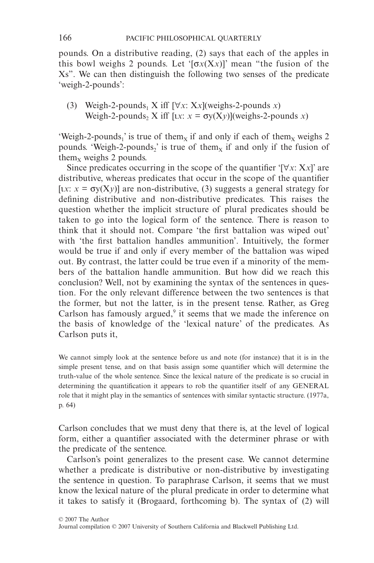pounds. On a distributive reading, (2) says that each of the apples in this bowl weighs 2 pounds. Let ' $[\sigma x(Xx)]$ ' mean "the fusion of the Xs". We can then distinguish the following two senses of the predicate 'weigh-2-pounds':

(3) Weigh-2-pounds<sub>1</sub> X iff  $[\forall x: Xx]$ (weighs-2-pounds *x*) Weigh-2-pounds, X iff  $[x: x = \sigma y(Xy)]$ (weighs-2-pounds *x*)

'Weigh-2-pounds<sub>1</sub>' is true of them<sub>x</sub> if and only if each of them<sub>x</sub> weighs 2 pounds. 'Weigh-2-pounds<sub>2</sub>' is true of them<sub>x</sub> if and only if the fusion of them<sub>x</sub> weighs 2 pounds.

Since predicates occurring in the scope of the quantifier ' $[\forall x: Xx]'$  are distributive, whereas predicates that occur in the scope of the quantifier [ $\{1 \times : x = \sigma y(Xy)\}$ ] are non-distributive, (3) suggests a general strategy for defining distributive and non-distributive predicates. This raises the question whether the implicit structure of plural predicates should be taken to go into the logical form of the sentence. There is reason to think that it should not. Compare 'the first battalion was wiped out' with 'the first battalion handles ammunition'. Intuitively, the former would be true if and only if every member of the battalion was wiped out. By contrast, the latter could be true even if a minority of the members of the battalion handle ammunition. But how did we reach this conclusion? Well, not by examining the syntax of the sentences in question. For the only relevant difference between the two sentences is that the former, but not the latter, is in the present tense. Rather, as Greg Carlson has famously argued,<sup>9</sup> it seems that we made the inference on the basis of knowledge of the 'lexical nature' of the predicates. As Carlson puts it,

We cannot simply look at the sentence before us and note (for instance) that it is in the simple present tense, and on that basis assign some quantifier which will determine the truth-value of the whole sentence. Since the lexical nature of the predicate is so crucial in determining the quantification it appears to rob the quantifier itself of any GENERAL role that it might play in the semantics of sentences with similar syntactic structure. (1977a, p. 64)

Carlson concludes that we must deny that there is, at the level of logical form, either a quantifier associated with the determiner phrase or with the predicate of the sentence.

Carlson's point generalizes to the present case. We cannot determine whether a predicate is distributive or non-distributive by investigating the sentence in question. To paraphrase Carlson, it seems that we must know the lexical nature of the plural predicate in order to determine what it takes to satisfy it (Brogaard, forthcoming b). The syntax of (2) will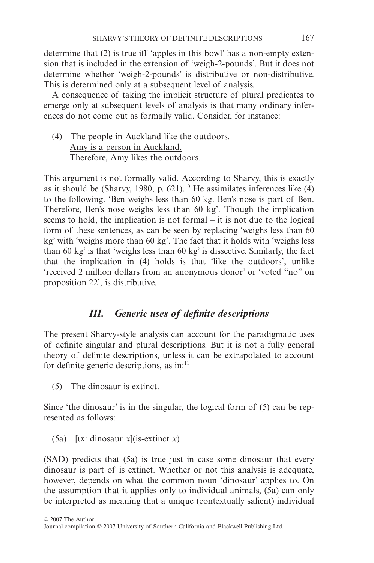determine that (2) is true iff 'apples in this bowl' has a non-empty extension that is included in the extension of 'weigh-2-pounds'. But it does not determine whether 'weigh-2-pounds' is distributive or non-distributive. This is determined only at a subsequent level of analysis.

A consequence of taking the implicit structure of plural predicates to emerge only at subsequent levels of analysis is that many ordinary inferences do not come out as formally valid. Consider, for instance:

(4) The people in Auckland like the outdoors. Amy is a person in Auckland. Therefore, Amy likes the outdoors.

This argument is not formally valid. According to Sharvy, this is exactly as it should be (Sharvy, 1980, p. 621).<sup>10</sup> He assimilates inferences like  $(4)$ to the following. 'Ben weighs less than 60 kg. Ben's nose is part of Ben. Therefore, Ben's nose weighs less than 60 kg'. Though the implication seems to hold, the implication is not formal – it is not due to the logical form of these sentences, as can be seen by replacing 'weighs less than 60 kg' with 'weighs more than 60 kg'. The fact that it holds with 'weighs less than 60 kg' is that 'weighs less than 60 kg' is dissective. Similarly, the fact that the implication in (4) holds is that 'like the outdoors', unlike 'received 2 million dollars from an anonymous donor' or 'voted "no" on proposition 22', is distributive.

## *III. Generic uses of definite descriptions*

The present Sharvy-style analysis can account for the paradigmatic uses of definite singular and plural descriptions. But it is not a fully general theory of definite descriptions, unless it can be extrapolated to account for definite generic descriptions, as  $in$ <sup>11</sup>

(5) The dinosaur is extinct.

Since 'the dinosaur' is in the singular, the logical form of (5) can be represented as follows:

(5a) [ιx: dinosaur *x*](is-extinct *x*)

(SAD) predicts that (5a) is true just in case some dinosaur that every dinosaur is part of is extinct. Whether or not this analysis is adequate, however, depends on what the common noun 'dinosaur' applies to. On the assumption that it applies only to individual animals,  $(5a)$  can only be interpreted as meaning that a unique (contextually salient) individual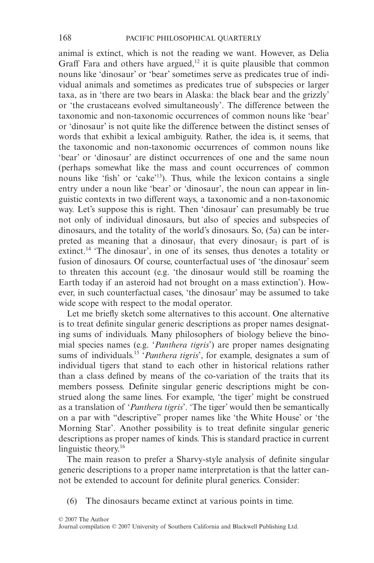animal is extinct, which is not the reading we want. However, as Delia Graff Fara and others have argued,<sup>12</sup> it is quite plausible that common nouns like 'dinosaur' or 'bear' sometimes serve as predicates true of individual animals and sometimes as predicates true of subspecies or larger taxa, as in 'there are two bears in Alaska: the black bear and the grizzly' or 'the crustaceans evolved simultaneously'. The difference between the taxonomic and non-taxonomic occurrences of common nouns like 'bear' or 'dinosaur' is not quite like the difference between the distinct senses of words that exhibit a lexical ambiguity. Rather, the idea is, it seems, that the taxonomic and non-taxonomic occurrences of common nouns like 'bear' or 'dinosaur' are distinct occurrences of one and the same noun (perhaps somewhat like the mass and count occurrences of common nouns like 'fish' or 'cake'13). Thus, while the lexicon contains a single entry under a noun like 'bear' or 'dinosaur', the noun can appear in linguistic contexts in two different ways, a taxonomic and a non-taxonomic way. Let's suppose this is right. Then 'dinosaur' can presumably be true not only of individual dinosaurs, but also of species and subspecies of dinosaurs, and the totality of the world's dinosaurs. So, (5a) can be interpreted as meaning that a dinosaur<sub>1</sub> that every dinosaur<sub>2</sub> is part of is extinct.<sup>14</sup> 'The dinosaur', in one of its senses, thus denotes a totality or fusion of dinosaurs. Of course, counterfactual uses of 'the dinosaur' seem to threaten this account (e.g. 'the dinosaur would still be roaming the Earth today if an asteroid had not brought on a mass extinction'). However, in such counterfactual cases, 'the dinosaur' may be assumed to take wide scope with respect to the modal operator.

Let me briefly sketch some alternatives to this account. One alternative is to treat definite singular generic descriptions as proper names designating sums of individuals. Many philosophers of biology believe the binomial species names (e.g. '*Panthera tigris*') are proper names designating sums of individuals.<sup>15</sup> *Panthera tigris*', for example, designates a sum of individual tigers that stand to each other in historical relations rather than a class defined by means of the co-variation of the traits that its members possess. Definite singular generic descriptions might be construed along the same lines. For example, 'the tiger' might be construed as a translation of '*Panthera tigris*'. 'The tiger' would then be semantically on a par with "descriptive" proper names like 'the White House' or 'the Morning Star'. Another possibility is to treat definite singular generic descriptions as proper names of kinds. This is standard practice in current linguistic theory.<sup>16</sup>

The main reason to prefer a Sharvy-style analysis of definite singular generic descriptions to a proper name interpretation is that the latter cannot be extended to account for definite plural generics. Consider:

(6) The dinosaurs became extinct at various points in time.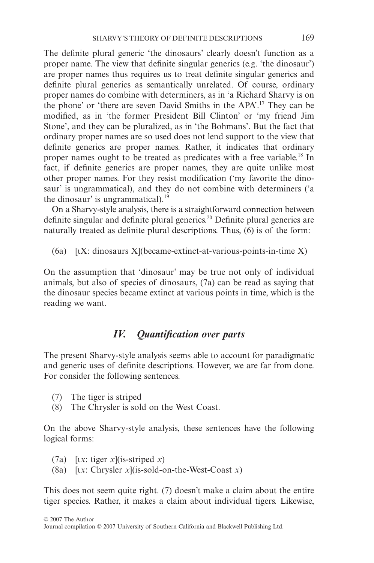The definite plural generic 'the dinosaurs' clearly doesn't function as a proper name. The view that definite singular generics (e.g. 'the dinosaur') are proper names thus requires us to treat definite singular generics and definite plural generics as semantically unrelated. Of course, ordinary proper names do combine with determiners, as in 'a Richard Sharvy is on the phone' or 'there are seven David Smiths in the APA'.17 They can be modified, as in 'the former President Bill Clinton' or 'my friend Jim Stone', and they can be pluralized, as in 'the Bohmans'. But the fact that ordinary proper names are so used does not lend support to the view that definite generics are proper names. Rather, it indicates that ordinary proper names ought to be treated as predicates with a free variable.<sup>18</sup> In fact, if definite generics are proper names, they are quite unlike most other proper names. For they resist modification ('my favorite the dinosaur' is ungrammatical), and they do not combine with determiners ('a the dinosaur' is ungrammatical). $^{19}$ 

On a Sharvy-style analysis, there is a straightforward connection between definite singular and definite plural generics.<sup>20</sup> Definite plural generics are naturally treated as definite plural descriptions. Thus, (6) is of the form:

(6a)  $\left[$ i(X: dinosaurs X)(became-extinct-at-various-points-in-time X)

On the assumption that 'dinosaur' may be true not only of individual animals, but also of species of dinosaurs, (7a) can be read as saying that the dinosaur species became extinct at various points in time, which is the reading we want.

### *IV. Quantification over parts*

The present Sharvy-style analysis seems able to account for paradigmatic and generic uses of definite descriptions. However, we are far from done. For consider the following sentences.

- (7) The tiger is striped
- (8) The Chrysler is sold on the West Coast.

On the above Sharvy-style analysis, these sentences have the following logical forms:

- (7a) [ι*x*: tiger *x*](is-striped *x*)
- (8a) [ι*x*: Chrysler *x*](is-sold-on-the-West-Coast *x*)

This does not seem quite right. (7) doesn't make a claim about the entire tiger species. Rather, it makes a claim about individual tigers. Likewise,

Journal compilation © 2007 University of Southern California and Blackwell Publishing Ltd.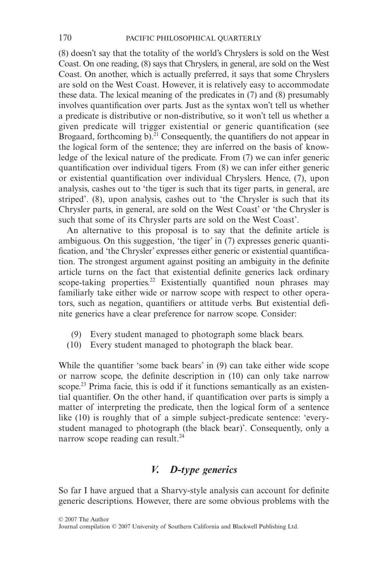(8) doesn't say that the totality of the world's Chryslers is sold on the West Coast. On one reading, (8) says that Chryslers, in general, are sold on the West Coast. On another, which is actually preferred, it says that some Chryslers are sold on the West Coast. However, it is relatively easy to accommodate these data. The lexical meaning of the predicates in (7) and (8) presumably involves quantification over parts. Just as the syntax won't tell us whether a predicate is distributive or non-distributive, so it won't tell us whether a given predicate will trigger existential or generic quantification (see Brogaard, forthcoming b).<sup>21</sup> Consequently, the quantifiers do not appear in the logical form of the sentence; they are inferred on the basis of knowledge of the lexical nature of the predicate. From (7) we can infer generic quantification over individual tigers. From (8) we can infer either generic or existential quantification over individual Chryslers. Hence, (7), upon analysis, cashes out to 'the tiger is such that its tiger parts, in general, are striped'. (8), upon analysis, cashes out to 'the Chrysler is such that its Chrysler parts, in general, are sold on the West Coast' or 'the Chrysler is such that some of its Chrysler parts are sold on the West Coast'.

An alternative to this proposal is to say that the definite article is ambiguous. On this suggestion, 'the tiger' in (7) expresses generic quantification, and 'the Chrysler' expresses either generic or existential quantification. The strongest argument against positing an ambiguity in the definite article turns on the fact that existential definite generics lack ordinary scope-taking properties.<sup>22</sup> Existentially quantified noun phrases may familiarly take either wide or narrow scope with respect to other operators, such as negation, quantifiers or attitude verbs. But existential definite generics have a clear preference for narrow scope. Consider:

- (9) Every student managed to photograph some black bears.
- (10) Every student managed to photograph the black bear.

While the quantifier 'some back bears' in (9) can take either wide scope or narrow scope, the definite description in (10) can only take narrow scope.<sup>23</sup> Prima facie, this is odd if it functions semantically as an existential quantifier. On the other hand, if quantification over parts is simply a matter of interpreting the predicate, then the logical form of a sentence like (10) is roughly that of a simple subject-predicate sentence: 'everystudent managed to photograph (the black bear)'. Consequently, only a narrow scope reading can result.24

# *V. D-type generics*

So far I have argued that a Sharvy-style analysis can account for definite generic descriptions. However, there are some obvious problems with the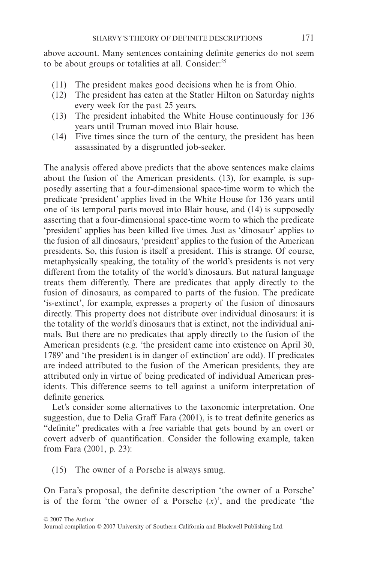above account. Many sentences containing definite generics do not seem to be about groups or totalities at all. Consider:<sup>25</sup>

- (11) The president makes good decisions when he is from Ohio.
- (12) The president has eaten at the Statler Hilton on Saturday nights every week for the past 25 years.
- (13) The president inhabited the White House continuously for 136 years until Truman moved into Blair house.
- (14) Five times since the turn of the century, the president has been assassinated by a disgruntled job-seeker.

The analysis offered above predicts that the above sentences make claims about the fusion of the American presidents. (13), for example, is supposedly asserting that a four-dimensional space-time worm to which the predicate 'president' applies lived in the White House for 136 years until one of its temporal parts moved into Blair house, and (14) is supposedly asserting that a four-dimensional space-time worm to which the predicate 'president' applies has been killed five times. Just as 'dinosaur' applies to the fusion of all dinosaurs, 'president' applies to the fusion of the American presidents. So, this fusion is itself a president. This is strange. Of course, metaphysically speaking, the totality of the world's presidents is not very different from the totality of the world's dinosaurs. But natural language treats them differently. There are predicates that apply directly to the fusion of dinosaurs, as compared to parts of the fusion. The predicate 'is-extinct', for example, expresses a property of the fusion of dinosaurs directly. This property does not distribute over individual dinosaurs: it is the totality of the world's dinosaurs that is extinct, not the individual animals. But there are no predicates that apply directly to the fusion of the American presidents (e.g. 'the president came into existence on April 30, 1789' and 'the president is in danger of extinction' are odd). If predicates are indeed attributed to the fusion of the American presidents, they are attributed only in virtue of being predicated of individual American presidents. This difference seems to tell against a uniform interpretation of definite generics.

Let's consider some alternatives to the taxonomic interpretation. One suggestion, due to Delia Graff Fara (2001), is to treat definite generics as "definite" predicates with a free variable that gets bound by an overt or covert adverb of quantification. Consider the following example, taken from Fara (2001, p. 23):

(15) The owner of a Porsche is always smug.

On Fara's proposal, the definite description 'the owner of a Porsche' is of the form 'the owner of a Porsche  $(x)$ ', and the predicate 'the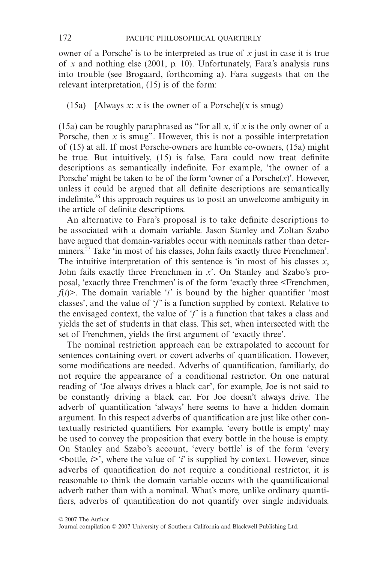owner of a Porsche' is to be interpreted as true of *x* just in case it is true of *x* and nothing else (2001, p. 10). Unfortunately, Fara's analysis runs into trouble (see Brogaard, forthcoming a). Fara suggests that on the relevant interpretation, (15) is of the form:

(15a) [Always *x*: *x* is the owner of a Porsche](*x* is smug)

(15a) can be roughly paraphrased as "for all *x*, if *x* is the only owner of a Porsche, then *x* is smug". However, this is not a possible interpretation of (15) at all. If most Porsche-owners are humble co-owners, (15a) might be true. But intuitively, (15) is false. Fara could now treat definite descriptions as semantically indefinite. For example, 'the owner of a Porsche' might be taken to be of the form 'owner of a  $\text{Porsch}(\mathbf{x})$ '. However, unless it could be argued that all definite descriptions are semantically indefinite,<sup>26</sup> this approach requires us to posit an unwelcome ambiguity in the article of definite descriptions.

An alternative to Fara's proposal is to take definite descriptions to be associated with a domain variable. Jason Stanley and Zoltan Szabo have argued that domain-variables occur with nominals rather than determiners. $27$  Take 'in most of his classes, John fails exactly three Frenchmen'. The intuitive interpretation of this sentence is 'in most of his classes *x*, John fails exactly three Frenchmen in *x*'. On Stanley and Szabo's proposal, 'exactly three Frenchmen' is of the form 'exactly three <Frenchmen,  $f(i)$ >. The domain variable '*i*' is bound by the higher quantifier 'most classes', and the value of '*f*' is a function supplied by context. Relative to the envisaged context, the value of '*f*' is a function that takes a class and yields the set of students in that class. This set, when intersected with the set of Frenchmen, yields the first argument of 'exactly three'.

The nominal restriction approach can be extrapolated to account for sentences containing overt or covert adverbs of quantification. However, some modifications are needed. Adverbs of quantification, familiarly, do not require the appearance of a conditional restrictor. On one natural reading of 'Joe always drives a black car', for example, Joe is not said to be constantly driving a black car. For Joe doesn't always drive. The adverb of quantification 'always' here seems to have a hidden domain argument. In this respect adverbs of quantification are just like other contextually restricted quantifiers. For example, 'every bottle is empty' may be used to convey the proposition that every bottle in the house is empty. On Stanley and Szabo's account, 'every bottle' is of the form 'every  $\leq$  bottle,  $i$  $>$ ', where the value of '*i*' is supplied by context. However, since adverbs of quantification do not require a conditional restrictor, it is reasonable to think the domain variable occurs with the quantificational adverb rather than with a nominal. What's more, unlike ordinary quantifiers, adverbs of quantification do not quantify over single individuals.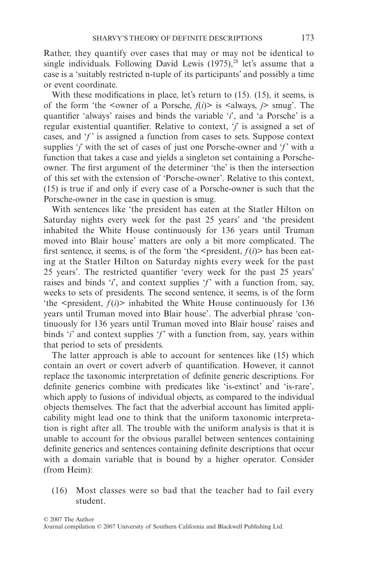Rather, they quantify over cases that may or may not be identical to single individuals. Following David Lewis  $(1975)$ ,<sup>28</sup> let's assume that a case is a 'suitably restricted n-tuple of its participants' and possibly a time or event coordinate.

With these modifications in place, let's return to (15). (15), it seems, is of the form 'the <owner of a Porsche,  $f(i)$  is <always,  $i$  smug'. The quantifier 'always' raises and binds the variable '*i*', and 'a Porsche' is a regular existential quantifier. Relative to context, '*j*' is assigned a set of cases, and '*f*' is assigned a function from cases to sets. Suppose context supplies '*j*' with the set of cases of just one Porsche-owner and '*f*' with a function that takes a case and yields a singleton set containing a Porscheowner. The first argument of the determiner 'the' is then the intersection of this set with the extension of 'Porsche-owner'. Relative to this context, (15) is true if and only if every case of a Porsche-owner is such that the Porsche-owner in the case in question is smug.

With sentences like 'the president has eaten at the Statler Hilton on Saturday nights every week for the past 25 years' and 'the president inhabited the White House continuously for 136 years until Truman moved into Blair house' matters are only a bit more complicated. The first sentence, it seems, is of the form 'the  $\leq$  president,  $f(i)$  has been eating at the Statler Hilton on Saturday nights every week for the past 25 years'. The restricted quantifier 'every week for the past 25 years' raises and binds '*i*', and context supplies '*f*' with a function from, say, weeks to sets of presidents. The second sentence, it seems, is of the form 'the  $\epsilon$  spresident,  $f(i)$  inhabited the White House continuously for 136 years until Truman moved into Blair house'. The adverbial phrase 'continuously for 136 years until Truman moved into Blair house' raises and binds '*i*' and context supplies '*f*' with a function from, say, years within that period to sets of presidents.

The latter approach is able to account for sentences like (15) which contain an overt or covert adverb of quantification. However, it cannot replace the taxonomic interpretation of definite generic descriptions. For definite generics combine with predicates like 'is-extinct' and 'is-rare', which apply to fusions of individual objects, as compared to the individual objects themselves. The fact that the adverbial account has limited applicability might lead one to think that the uniform taxonomic interpretation is right after all. The trouble with the uniform analysis is that it is unable to account for the obvious parallel between sentences containing definite generics and sentences containing definite descriptions that occur with a domain variable that is bound by a higher operator. Consider (from Heim):

(16) Most classes were so bad that the teacher had to fail every student.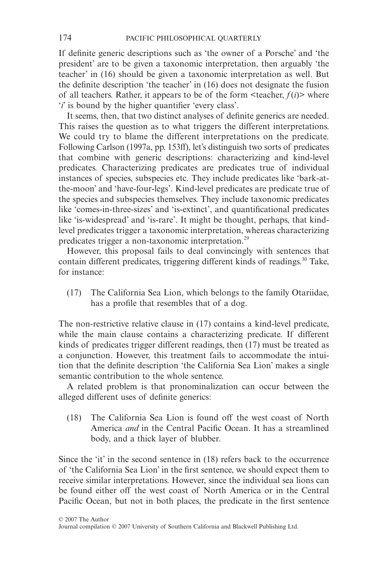If definite generic descriptions such as 'the owner of a Porsche' and 'the president' are to be given a taxonomic interpretation, then arguably 'the teacher' in (16) should be given a taxonomic interpretation as well. But the definite description 'the teacher' in (16) does not designate the fusion of all teachers. Rather, it appears to be of the form  $\leq$  teacher,  $f(i)$  where '*i*' is bound by the higher quantifier 'every class'.

It seems, then, that two distinct analyses of definite generics are needed. This raises the question as to what triggers the different interpretations. We could try to blame the different interpretations on the predicate. Following Carlson (1997a, pp. 153ff), let's distinguish two sorts of predicates that combine with generic descriptions: characterizing and kind-level predicates. Characterizing predicates are predicates true of individual instances of species, subspecies etc. They include predicates like 'bark-atthe-moon' and 'have-four-legs'. Kind-level predicates are predicate true of the species and subspecies themselves. They include taxonomic predicates like 'comes-in-three-sizes' and 'is-extinct', and quantificational predicates like 'is-widespread' and 'is-rare'. It might be thought, perhaps, that kindlevel predicates trigger a taxonomic interpretation, whereas characterizing predicates trigger a non-taxonomic interpretation.<sup>29</sup>

However, this proposal fails to deal convincingly with sentences that contain different predicates, triggering different kinds of readings.<sup>30</sup> Take, for instance:

(17) The California Sea Lion, which belongs to the family Otariidae, has a profile that resembles that of a dog.

The non-restrictive relative clause in (17) contains a kind-level predicate, while the main clause contains a characterizing predicate. If different kinds of predicates trigger different readings, then (17) must be treated as a conjunction. However, this treatment fails to accommodate the intuition that the definite description 'the California Sea Lion' makes a single semantic contribution to the whole sentence.

A related problem is that pronominalization can occur between the alleged different uses of definite generics:

(18) The California Sea Lion is found off the west coast of North America *and* in the Central Pacific Ocean. It has a streamlined body, and a thick layer of blubber.

Since the 'it' in the second sentence in (18) refers back to the occurrence of 'the California Sea Lion' in the first sentence, we should expect them to receive similar interpretations. However, since the individual sea lions can be found either off the west coast of North America or in the Central Pacific Ocean, but not in both places, the predicate in the first sentence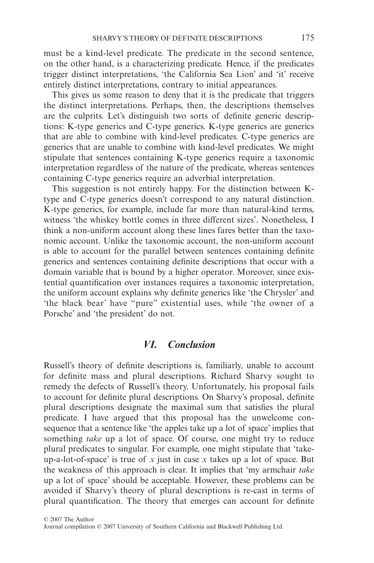must be a kind-level predicate. The predicate in the second sentence, on the other hand, is a characterizing predicate. Hence, if the predicates trigger distinct interpretations, 'the California Sea Lion' and 'it' receive entirely distinct interpretations, contrary to initial appearances.

This gives us some reason to deny that it is the predicate that triggers the distinct interpretations. Perhaps, then, the descriptions themselves are the culprits. Let's distinguish two sorts of definite generic descriptions: K-type generics and C-type generics. K-type generics are generics that are able to combine with kind-level predicates. C-type generics are generics that are unable to combine with kind-level predicates. We might stipulate that sentences containing K-type generics require a taxonomic interpretation regardless of the nature of the predicate, whereas sentences containing C-type generics require an adverbial interpretation.

This suggestion is not entirely happy. For the distinction between Ktype and C-type generics doesn't correspond to any natural distinction. K-type generics, for example, include far more than natural-kind terms, witness 'the whiskey bottle comes in three different sizes'. Nonetheless, I think a non-uniform account along these lines fares better than the taxonomic account. Unlike the taxonomic account, the non-uniform account is able to account for the parallel between sentences containing definite generics and sentences containing definite descriptions that occur with a domain variable that is bound by a higher operator. Moreover, since existential quantification over instances requires a taxonomic interpretation, the uniform account explains why definite generics like 'the Chrysler' and 'the black bear' have "pure" existential uses, while 'the owner of a Porsche' and 'the president' do not.

#### *VI. Conclusion*

Russell's theory of definite descriptions is, familiarly, unable to account for definite mass and plural descriptions. Richard Sharvy sought to remedy the defects of Russell's theory. Unfortunately, his proposal fails to account for definite plural descriptions. On Sharvy's proposal, definite plural descriptions designate the maximal sum that satisfies the plural predicate. I have argued that this proposal has the unwelcome consequence that a sentence like 'the apples take up a lot of space' implies that something *take* up a lot of space. Of course, one might try to reduce plural predicates to singular. For example, one might stipulate that 'takeup-a-lot-of-space' is true of *x* just in case *x* takes up a lot of space. But the weakness of this approach is clear. It implies that 'my armchair *take* up a lot of space' should be acceptable. However, these problems can be avoided if Sharvy's theory of plural descriptions is re-cast in terms of plural quantification. The theory that emerges can account for definite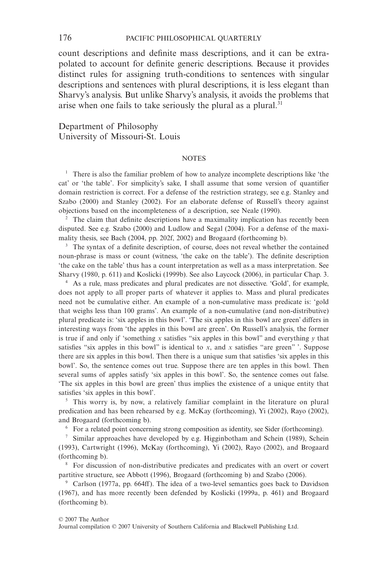count descriptions and definite mass descriptions, and it can be extrapolated to account for definite generic descriptions. Because it provides distinct rules for assigning truth-conditions to sentences with singular descriptions and sentences with plural descriptions, it is less elegant than Sharvy's analysis. But unlike Sharvy's analysis, it avoids the problems that arise when one fails to take seriously the plural as a plural. $31$ 

Department of Philosophy University of Missouri-St. Louis

#### **NOTES**

 $<sup>1</sup>$  There is also the familiar problem of how to analyze incomplete descriptions like 'the</sup> cat' or 'the table'. For simplicity's sake, I shall assume that some version of quantifier domain restriction is correct. For a defense of the restriction strategy, see e.g. Stanley and Szabo (2000) and Stanley (2002). For an elaborate defense of Russell's theory against objections based on the incompleteness of a description, see Neale (1990).

 $2\degree$  The claim that definite descriptions have a maximality implication has recently been disputed. See e.g. Szabo (2000) and Ludlow and Segal (2004). For a defense of the maximality thesis, see Bach (2004, pp. 202f, 2002) and Brogaard (forthcoming b).

<sup>3</sup> The syntax of a definite description, of course, does not reveal whether the contained noun-phrase is mass or count (witness, 'the cake on the table'). The definite description 'the cake on the table' thus has a count interpretation as well as a mass interpretation. See Sharvy (1980, p. 611) and Koslicki (1999b). See also Laycock (2006), in particular Chap. 3.

<sup>4</sup> As a rule, mass predicates and plural predicates are not dissective. 'Gold', for example, does not apply to all proper parts of whatever it applies to. Mass and plural predicates need not be cumulative either. An example of a non-cumulative mass predicate is: 'gold that weighs less than 100 grams'. An example of a non-cumulative (and non-distributive) plural predicate is: 'six apples in this bowl'. 'The six apples in this bowl are green' differs in interesting ways from 'the apples in this bowl are green'. On Russell's analysis, the former is true if and only if 'something *x* satisfies "six apples in this bowl" and everything *y* that satisfies "six apples in this bowl" is identical to *x*, and *x* satisfies "are green" '. Suppose there are six apples in this bowl. Then there is a unique sum that satisfies 'six apples in this bowl'. So, the sentence comes out true. Suppose there are ten apples in this bowl. Then several sums of apples satisfy 'six apples in this bowl'. So, the sentence comes out false. 'The six apples in this bowl are green' thus implies the existence of a unique entity that satisfies 'six apples in this bowl'.

<sup>5</sup> This worry is, by now, a relatively familiar complaint in the literature on plural predication and has been rehearsed by e.g. McKay (forthcoming), Yi (2002), Rayo (2002), and Brogaard (forthcoming b).

<sup>6</sup> For a related point concerning strong composition as identity, see Sider (forthcoming).

<sup>7</sup> Similar approaches have developed by e.g. Higginbotham and Schein (1989), Schein (1993), Cartwright (1996), McKay (forthcoming), Yi (2002), Rayo (2002), and Brogaard (forthcoming b).

<sup>8</sup> For discussion of non-distributive predicates and predicates with an overt or covert partitive structure, see Abbott (1996), Brogaard (forthcoming b) and Szabo (2006).

9 Carlson (1977a, pp. 664ff). The idea of a two-level semantics goes back to Davidson (1967), and has more recently been defended by Koslicki (1999a, p. 461) and Brogaard (forthcoming b).

<sup>© 2007</sup> The Author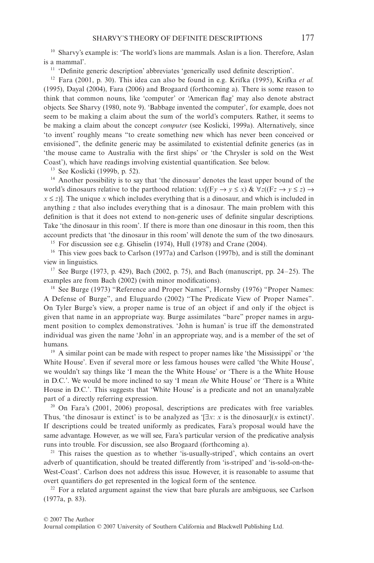<sup>10</sup> Sharvy's example is: 'The world's lions are mammals. Aslan is a lion. Therefore, Aslan is a mammal'.

<sup>11</sup> 'Definite generic description' abbreviates 'generically used definite description'.

<sup>12</sup> Fara (2001, p. 30). This idea can also be found in e.g. Krifka (1995), Krifka *et al.* (1995), Dayal (2004), Fara (2006) and Brogaard (forthcoming a). There is some reason to think that common nouns, like 'computer' or 'American flag' may also denote abstract objects. See Sharvy (1980, note 9). 'Babbage invented the computer', for example, does not seem to be making a claim about the sum of the world's computers. Rather, it seems to be making a claim about the concept *computer* (see Koslicki, 1999a). Alternatively, since 'to invent' roughly means "to create something new which has never been conceived or envisioned", the definite generic may be assimilated to existential definite generics (as in 'the mouse came to Australia with the first ships' or 'the Chrysler is sold on the West Coast'), which have readings involving existential quantification. See below.

<sup>13</sup> See Koslicki (1999b, p. 52).

<sup>14</sup> Another possibility is to say that 'the dinosaur' denotes the least upper bound of the world's dinosaurs relative to the parthood relation:  $\iota x[(F\gamma \to \gamma \leq x) \& \forall z((Fz \to \gamma \leq z) \to$  $x \le z$ ). The unique *x* which includes everything that is a dinosaur, and which is included in anything *z* that also includes everything that is a dinosaur. The main problem with this definition is that it does not extend to non-generic uses of definite singular descriptions. Take 'the dinosaur in this room'. If there is more than one dinosaur in this room, then this account predicts that 'the dinosaur in this room' will denote the sum of the two dinosaurs.

<sup>15</sup> For discussion see e.g. Ghiselin (1974), Hull (1978) and Crane (2004).

<sup>16</sup> This view goes back to Carlson (1977a) and Carlson (1997b), and is still the dominant view in linguistics.

<sup>17</sup> See Burge (1973, p. 429), Bach (2002, p. 75), and Bach (manuscript, pp. 24–25). The examples are from Bach (2002) (with minor modifications).

<sup>18</sup> See Burge (1973) "Reference and Proper Names", Hornsby (1976) "Proper Names: A Defense of Burge", and Eluguardo (2002) "The Predicate View of Proper Names". On Tyler Burge's view, a proper name is true of an object if and only if the object is given that name in an appropriate way. Burge assimilates "bare" proper names in argument position to complex demonstratives. 'John is human' is true iff the demonstrated individual was given the name 'John' in an appropriate way, and is a member of the set of humans.

<sup>19</sup> A similar point can be made with respect to proper names like 'the Mississippi' or 'the White House'. Even if several more or less famous houses were called 'the White House', we wouldn't say things like 'I mean the the White House' or 'There is a the White House in D.C.'. We would be more inclined to say 'I mean *the* White House' or 'There is a White House in D.C.'. This suggests that 'White House' is a predicate and not an unanalyzable part of a directly referring expression.

 $20$  On Fara's (2001, 2006) proposal, descriptions are predicates with free variables. Thus, 'the dinosaur is extinct' is to be analyzed as ' $[\exists x: x$  is the dinosaur](*x* is extinct)'. If descriptions could be treated uniformly as predicates, Fara's proposal would have the same advantage. However, as we will see, Fara's particular version of the predicative analysis runs into trouble. For discussion, see also Brogaard (forthcoming a).

<sup>21</sup> This raises the question as to whether 'is-usually-striped', which contains an overt adverb of quantification, should be treated differently from 'is-striped' and 'is-sold-on-the-West-Coast'. Carlson does not address this issue. However, it is reasonable to assume that overt quantifiers do get represented in the logical form of the sentence.

 $2<sup>22</sup>$  For a related argument against the view that bare plurals are ambiguous, see Carlson (1977a, p. 83).

© 2007 The Author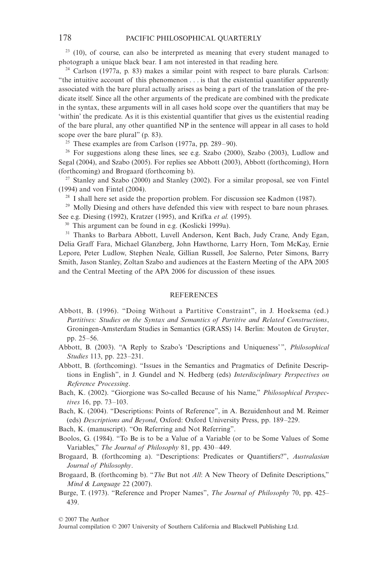$23$  (10), of course, can also be interpreted as meaning that every student managed to photograph a unique black bear. I am not interested in that reading here.

 $24$  Carlson (1977a, p. 83) makes a similar point with respect to bare plurals. Carlson: "the intuitive account of this phenomenon . . . is that the existential quantifier apparently associated with the bare plural actually arises as being a part of the translation of the predicate itself. Since all the other arguments of the predicate are combined with the predicate in the syntax, these arguments will in all cases hold scope over the quantifiers that may be 'within' the predicate. As it is this existential quantifier that gives us the existential reading of the bare plural, any other quantified NP in the sentence will appear in all cases to hold scope over the bare plural" (p. 83).

<sup>25</sup> These examples are from Carlson (1977a, pp. 289–90).

<sup>26</sup> For suggestions along these lines, see e.g. Szabo (2000), Szabo (2003), Ludlow and Segal (2004), and Szabo (2005). For replies see Abbott (2003), Abbott (forthcoming), Horn (forthcoming) and Brogaard (forthcoming b).

 $27$  Stanley and Szabo (2000) and Stanley (2002). For a similar proposal, see von Fintel (1994) and von Fintel (2004).

 $28$  I shall here set aside the proportion problem. For discussion see Kadmon (1987).

<sup>29</sup> Molly Diesing and others have defended this view with respect to bare noun phrases. See e.g. Diesing (1992), Kratzer (1995), and Krifka *et al.* (1995). <sup>30</sup> This argument can be found in e.g. (Koslicki 1999a).

<sup>31</sup> Thanks to Barbara Abbott, Luvell Anderson, Kent Bach, Judy Crane, Andy Egan, Delia Graff Fara, Michael Glanzberg, John Hawthorne, Larry Horn, Tom McKay, Ernie Lepore, Peter Ludlow, Stephen Neale, Gillian Russell, Joe Salerno, Peter Simons, Barry Smith, Jason Stanley, Zoltan Szabo and audiences at the Eastern Meeting of the APA 2005 and the Central Meeting of the APA 2006 for discussion of these issues.

#### **REFERENCES**

- Abbott, B. (1996). "Doing Without a Partitive Constraint", in J. Hoeksema (ed.) *Partitives: Studies on the Syntax and Semantics of Partitive and Related Constructions*, Groningen-Amsterdam Studies in Semantics (GRASS) 14. Berlin: Mouton de Gruyter, pp. 25–56.
- Abbott, B. (2003). "A Reply to Szabo's 'Descriptions and Uniqueness' ", *Philosophical Studies* 113, pp. 223–231.
- Abbott, B. (forthcoming). "Issues in the Semantics and Pragmatics of Definite Descriptions in English", in J. Gundel and N. Hedberg (eds) *Interdisciplinary Perspectives on Reference Processing*.
- Bach, K. (2002). "Giorgione was So-called Because of his Name," *Philosophical Perspectives* 16, pp. 73–103.
- Bach, K. (2004). "Descriptions: Points of Reference", in A. Bezuidenhout and M. Reimer (eds) *Descriptions and Beyond*, Oxford: Oxford University Press, pp. 189–229.

Bach, K. (manuscript). "On Referring and Not Referring".

- Boolos, G. (1984). "To Be is to be a Value of a Variable (or to be Some Values of Some Variables," *The Journal of Philosophy* 81, pp. 430–449.
- Brogaard, B. (forthcoming a). "Descriptions: Predicates or Quantifiers?", *Australasian Journal of Philosophy*.
- Brogaard, B. (forthcoming b). "*The* But not *All*: A New Theory of Definite Descriptions," *Mind & Language* 22 (2007).
- Burge, T. (1973). "Reference and Proper Names", *The Journal of Philosophy* 70, pp. 425– 439.

© 2007 The Author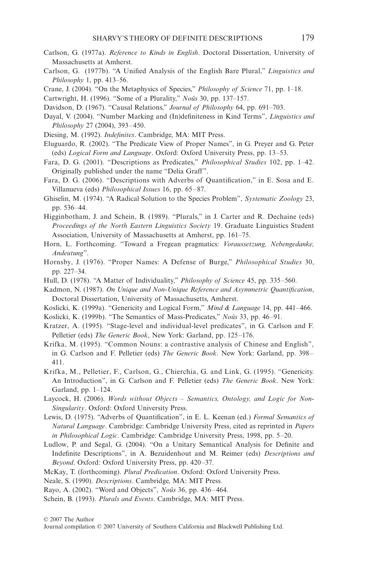- Carlson, G. (1977a). *Reference to Kinds in English*. Doctoral Dissertation, University of Massachusetts at Amherst.
- Carlson, G. (1977b). "A Unified Analysis of the English Bare Plural," *Linguistics and Philosophy* 1, pp. 413–56.
- Crane, J. (2004). "On the Metaphysics of Species," *Philosophy of Science* 71, pp. 1–18.
- Cartwright, H. (1996). "Some of a Plurality," *Noûs* 30, pp. 137–157.
- Davidson, D. (1967). "Causal Relations," *Journal of Philosophy* 64, pp. 691–703.
- Dayal, V. (2004). "Number Marking and (In)definiteness in Kind Terms", *Linguistics and Philosophy* 27 (2004), 393–450.
- Diesing, M. (1992). *Indefinites*. Cambridge, MA: MIT Press.
- Eluguardo, R. (2002). "The Predicate View of Proper Names", in G. Preyer and G. Peter (eds) *Logical Form and Language*. Oxford: Oxford University Press, pp. 13–53.
- Fara, D. G. (2001). "Descriptions as Predicates," *Philosophical Studies* 102, pp. 1–42. Originally published under the name "Delia Graff".
- Fara, D. G. (2006). "Descriptions with Adverbs of Quantification," in E. Sosa and E. Villanueva (eds) *Philosophical Issues* 16, pp. 65–87.
- Ghiselin, M. (1974). "A Radical Solution to the Species Problem", *Systematic Zoology* 23, pp. 536–44.
- Higginbotham, J. and Schein, B. (1989). "Plurals," in J. Carter and R. Dechaine (eds) *Proceedings of the North Eastern Linguistics Society* 19. Graduate Linguistics Student Association, University of Massachusetts at Amherst, pp. 161–75.
- Horn, L. Forthcoming. "Toward a Fregean pragmatics: *Voraussetzung, Nebengedanke, Andeutung*".
- Hornsby, J. (1976). "Proper Names: A Defense of Burge," *Philosophical Studies* 30, pp. 227–34.
- Hull, D. (1978). "A Matter of Individuality," *Philosophy of Science* 45, pp. 335–560.
- Kadmon, N. (1987). *On Unique and Non-Unique Reference and Asymmetric Quantification*, Doctoral Dissertation, University of Massachusetts, Amherst.
- Koslicki, K. (1999a). "Genericity and Logical Form," *Mind & Language* 14, pp. 441–466.
- Koslicki, K. (1999b). "The Semantics of Mass-Predicates," *Noûs* 33, pp. 46–91.
- Kratzer, A. (1995). "Stage-level and individual-level predicates", in G. Carlson and F. Pelletier (eds) *The Generic Book*, New York: Garland, pp. 125–176.
- Krifka, M. (1995). "Common Nouns: a contrastive analysis of Chinese and English", in G. Carlson and F. Pelletier (eds) *The Generic Book*. New York: Garland, pp. 398– 411.
- Krifka, M., Pelletier, F., Carlson, G., Chierchia, G. and Link, G. (1995). "Genericity. An Introduction", in G. Carlson and F. Pelletier (eds) *The Generic Book*. New York: Garland, pp. 1–124.
- Laycock, H. (2006). *Words without Objects Semantics, Ontology, and Logic for Non-Singularity*. Oxford: Oxford University Press.
- Lewis, D. (1975). "Adverbs of Quantification", in E. L. Keenan (ed.) *Formal Semantics of Natural Language*. Cambridge: Cambridge University Press, cited as reprinted in *Papers in Philosophical Logic*. Cambridge: Cambridge University Press, 1998, pp. 5–20.
- Ludlow, P. and Segal, G. (2004). "On a Unitary Semantical Analysis for Definite and Indefinite Descriptions", in A. Bezuidenhout and M. Reimer (eds) *Descriptions and Beyond*. Oxford: Oxford University Press, pp. 420–37.
- McKay, T. (forthcoming). *Plural Predication*. Oxford: Oxford University Press.
- Neale, S. (1990). *Descriptions*. Cambridge, MA: MIT Press.
- Rayo, A. (2002). "Word and Objects", *Noûs* 36, pp. 436–464.
- Schein, B. (1993). *Plurals and Events*. Cambridge, MA: MIT Press.

© 2007 The Author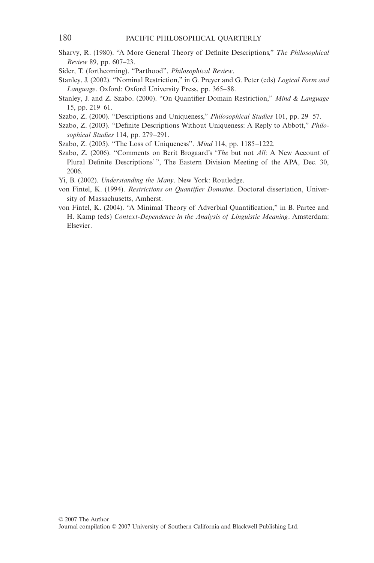- Sharvy, R. (1980). "A More General Theory of Definite Descriptions," *The Philosophical Review* 89, pp. 607–23.
- Sider, T. (forthcoming). "Parthood", *Philosophical Review*.
- Stanley, J. (2002). "Nominal Restriction," in G. Preyer and G. Peter (eds) *Logical Form and Language*. Oxford: Oxford University Press, pp. 365–88.
- Stanley, J. and Z. Szabo. (2000). "On Quantifier Domain Restriction," *Mind & Language* 15, pp. 219–61.
- Szabo, Z. (2000). "Descriptions and Uniqueness," *Philosophical Studies* 101, pp. 29–57.
- Szabo, Z. (2003). "Definite Descriptions Without Uniqueness: A Reply to Abbott," *Philosophical Studies* 114, pp. 279–291.
- Szabo, Z. (2005). "The Loss of Uniqueness". *Mind* 114, pp. 1185–1222.
- Szabo, Z. (2006). "Comments on Berit Brogaard's '*The* but not *All*: A New Account of Plural Definite Descriptions'", The Eastern Division Meeting of the APA, Dec. 30, 2006.
- Yi, B. (2002). *Understanding the Many*. New York: Routledge.
- von Fintel, K. (1994). *Restrictions on Quantifier Domains*. Doctoral dissertation, University of Massachusetts, Amherst.
- von Fintel, K. (2004). "A Minimal Theory of Adverbial Quantification," in B. Partee and H. Kamp (eds) *Context-Dependence in the Analysis of Linguistic Meaning*. Amsterdam: Elsevier.